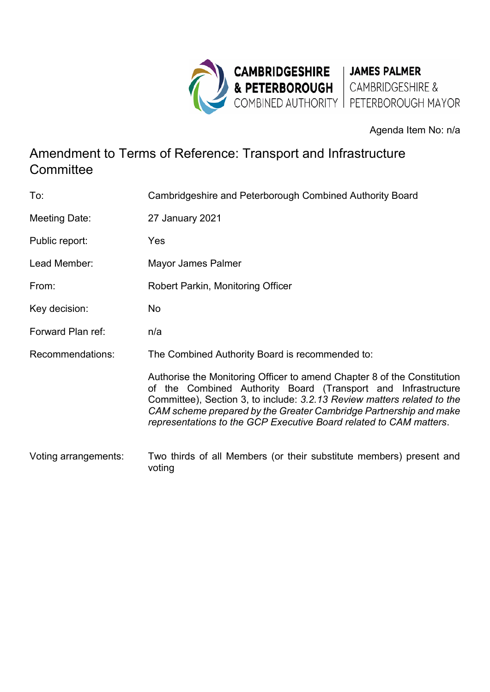

Agenda Item No: n/a

## Amendment to Terms of Reference: Transport and Infrastructure **Committee**

| To:                  | Cambridgeshire and Peterborough Combined Authority Board                                                                                                                                                                                                                                                                                                       |
|----------------------|----------------------------------------------------------------------------------------------------------------------------------------------------------------------------------------------------------------------------------------------------------------------------------------------------------------------------------------------------------------|
| Meeting Date:        | 27 January 2021                                                                                                                                                                                                                                                                                                                                                |
| Public report:       | Yes                                                                                                                                                                                                                                                                                                                                                            |
| Lead Member:         | Mayor James Palmer                                                                                                                                                                                                                                                                                                                                             |
| From:                | Robert Parkin, Monitoring Officer                                                                                                                                                                                                                                                                                                                              |
| Key decision:        | No                                                                                                                                                                                                                                                                                                                                                             |
| Forward Plan ref:    | n/a                                                                                                                                                                                                                                                                                                                                                            |
| Recommendations:     | The Combined Authority Board is recommended to:                                                                                                                                                                                                                                                                                                                |
|                      | Authorise the Monitoring Officer to amend Chapter 8 of the Constitution<br>of the Combined Authority Board (Transport and Infrastructure<br>Committee), Section 3, to include: 3.2.13 Review matters related to the<br>CAM scheme prepared by the Greater Cambridge Partnership and make<br>representations to the GCP Executive Board related to CAM matters. |
| Voting arrangements: | Two thirds of all Members (or their substitute members) present and<br>voting                                                                                                                                                                                                                                                                                  |